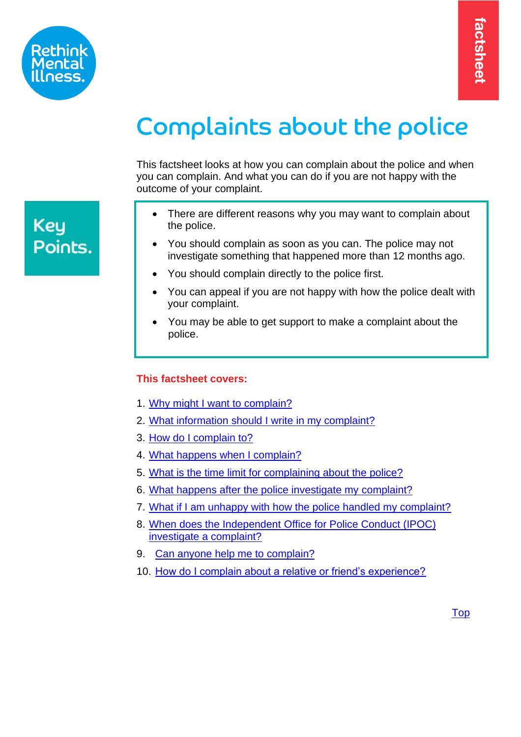

# Complaints about the police

This factsheet looks at how you can complain about the police and when you can complain. And what you can do if you are not happy with the outcome of your complaint.

- There are different reasons why you may want to complain about the police.
- You should complain as soon as you can. The police may not investigate something that happened more than 12 months ago.
- You should complain directly to the police first.
- You can appeal if you are not happy with how the police dealt with your complaint.
- <span id="page-0-1"></span>• You may be able to get support to make a complaint about the police.

# **This factsheet covers:**

- 1. [Why might I want to complain?](#page-0-0)
- 2. [What information should I write in my complaint?](#page-2-0)
- 3. [How do I complain to?](#page-3-0)
- 4. [What happens when I complain?](#page-3-1)
- 5. [What is the time limit for complaining about the police?](#page-5-0)
- 6. [What happens after the police investigate my complaint?](#page-5-1)
- 7. [What if I am unhappy with how the police handled my complaint?](#page-5-2)
- 8. [When does the Independent Office for Police Conduct \(IPOC\)](#page-6-0)  [investigate a complaint?](#page-6-0)
- 9. [Can anyone help me to complain?](#page-7-0)
- <span id="page-0-0"></span>10. [How do I complain about a relative or friend's experience?](#page-8-0)

**Key** Points.

[Top](#page-0-1)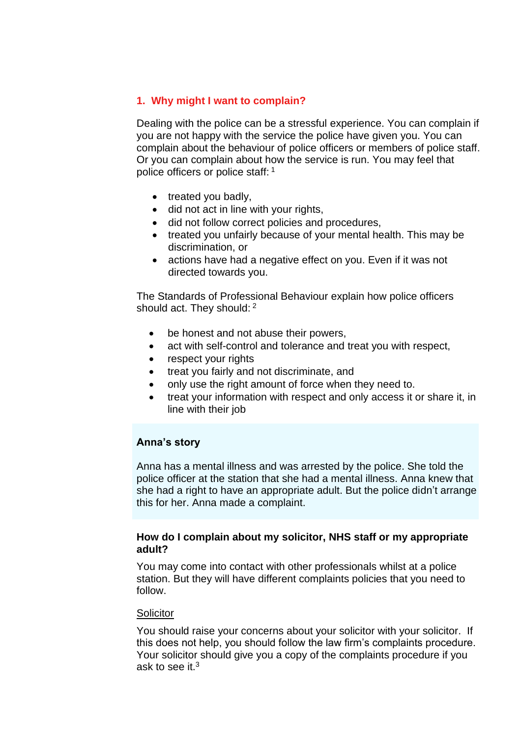# **1. Why might I want to complain?**

Dealing with the police can be a stressful experience. You can complain if you are not happy with the service the police have given you. You can complain about the behaviour of police officers or members of police staff. Or you can complain about how the service is run. You may feel that police officers or police staff: <sup>1</sup>

- treated you badly,
- did not act in line with your rights,
- did not follow correct policies and procedures,
- treated you unfairly because of your mental health. This may be discrimination, or
- actions have had a negative effect on you. Even if it was not directed towards you.

The Standards of Professional Behaviour explain how police officers should act. They should: <sup>2</sup>

- be honest and not abuse their powers,
- act with self-control and tolerance and treat you with respect,
- respect your rights
- treat you fairly and not discriminate, and
- only use the right amount of force when they need to.
- treat your information with respect and only access it or share it, in line with their job

## **Anna's story**

Anna has a mental illness and was arrested by the police. She told the police officer at the station that she had a mental illness. Anna knew that she had a right to have an appropriate adult. But the police didn't arrange this for her. Anna made a complaint.

#### **How do I complain about my solicitor, NHS staff or my appropriate adult?**

You may come into contact with other professionals whilst at a police station. But they will have different complaints policies that you need to follow.

#### **Solicitor**

You should raise your concerns about your solicitor with your solicitor. If this does not help, you should follow the law firm's complaints procedure. Your solicitor should give you a copy of the complaints procedure if you ask to see it  $3$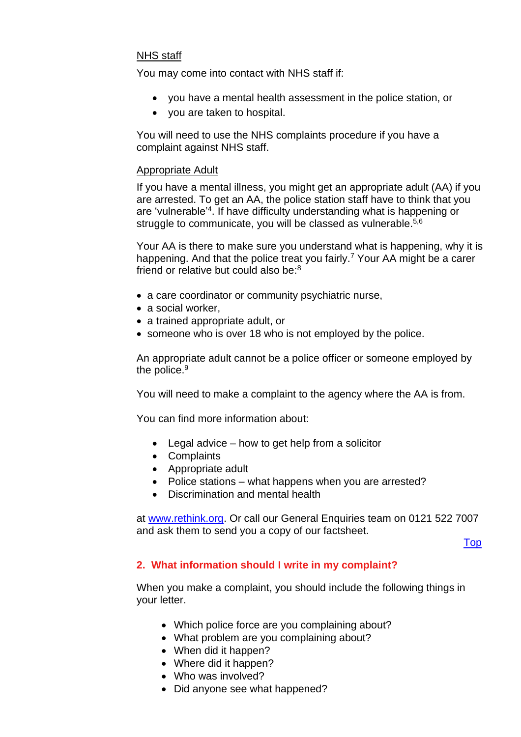#### NHS staff

You may come into contact with NHS staff if:

- you have a mental health assessment in the police station, or
- you are taken to hospital.

You will need to use the NHS complaints procedure if you have a complaint against NHS staff.

#### Appropriate Adult

If you have a mental illness, you might get an appropriate adult (AA) if you are arrested. To get an AA, the police station staff have to think that you are 'vulnerable'<sup>4</sup> . If have difficulty understanding what is happening or struggle to communicate, you will be classed as vulnerable.<sup>5,6</sup>

Your AA is there to make sure you understand what is happening, why it is happening. And that the police treat you fairly.<sup>7</sup> Your AA might be a carer friend or relative but could also be:<sup>8</sup>

- a care coordinator or community psychiatric nurse,
- a social worker,
- a trained appropriate adult, or
- someone who is over 18 who is not employed by the police.

An appropriate adult cannot be a police officer or someone employed by the police.<sup>9</sup>

You will need to make a complaint to the agency where the AA is from.

You can find more information about:

- Legal advice how to get help from a solicitor
- Complaints
- Appropriate adult
- Police stations what happens when you are arrested?
- Discrimination and mental health

at [www.rethink.org.](file://///Srv-fil05/YKS_NE_EM/EM/Advice%20&%20Information%20Service%20AIS4005/Shared/FACT%20SHEETS/Employment%20Support%20Allowance%20(ESA)%20Factsheet/Review%20Folder/2016/www.rethink.org) Or call our General Enquiries team on 0121 522 7007 and ask them to send you a copy of our factsheet.

<span id="page-2-0"></span>[Top](#page-0-1)

## **2. What information should I write in my complaint?**

When you make a complaint, you should include the following things in your letter.

- Which police force are you complaining about?
- What problem are you complaining about?
- When did it happen?
- Where did it happen?
- Who was involved?
- Did anyone see what happened?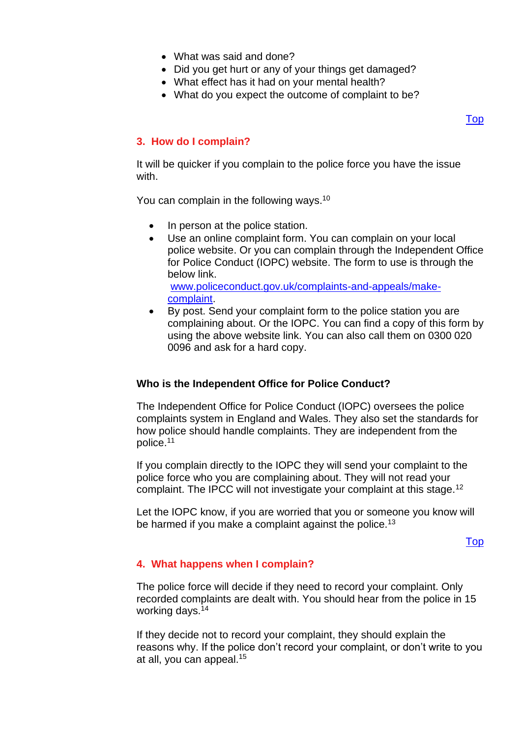- What was said and done?
- Did you get hurt or any of your things get damaged?
- What effect has it had on your mental health?
- What do you expect the outcome of complaint to be?

## <span id="page-3-0"></span>**3. How do I complain?**

It will be quicker if you complain to the police force you have the issue with.

You can complain in the following ways.<sup>10</sup>

- In person at the police station.
- Use an online complaint form. You can complain on your local police website. Or you can complain through the Independent Office for Police Conduct (IOPC) website. The form to use is through the below link. [www.policeconduct.gov.uk/complaints-and-appeals/make](https://www.policeconduct.gov.uk/complaints-and-appeals/make-complaint)[complaint.](https://www.policeconduct.gov.uk/complaints-and-appeals/make-complaint)
- By post. Send your complaint form to the police station you are complaining about. Or the IOPC. You can find a copy of this form by using the above website link. You can also call them on 0300 020 0096 and ask for a hard copy.

#### **Who is the Independent Office for Police Conduct?**

The Independent Office for Police Conduct (IOPC) oversees the police complaints system in England and Wales. They also set the standards for how police should handle complaints. They are independent from the police.<sup>11</sup>

If you complain directly to the IOPC they will send your complaint to the police force who you are complaining about. They will not read your complaint. The IPCC will not investigate your complaint at this stage.<sup>12</sup>

Let the IOPC know, if you are worried that you or someone you know will be harmed if you make a complaint against the police.<sup>13</sup>

#### [Top](#page-0-1)

## <span id="page-3-1"></span>**4. What happens when I complain?**

The police force will decide if they need to record your complaint. Only recorded complaints are dealt with. You should hear from the police in 15 working days.<sup>14</sup>

If they decide not to record your complaint, they should explain the reasons why. If the police don't record your complaint, or don't write to you at all, you can appeal.<sup>15</sup>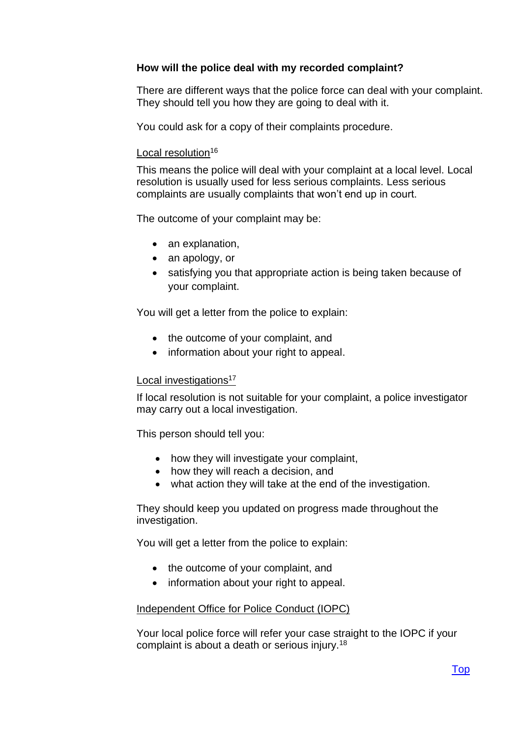# **How will the police deal with my recorded complaint?**

There are different ways that the police force can deal with your complaint. They should tell you how they are going to deal with it.

You could ask for a copy of their complaints procedure.

#### Local resolution<sup>16</sup>

This means the police will deal with your complaint at a local level. Local resolution is usually used for less serious complaints. Less serious complaints are usually complaints that won't end up in court.

The outcome of your complaint may be:

- an explanation,
- an apology, or
- satisfying you that appropriate action is being taken because of your complaint.

You will get a letter from the police to explain:

- the outcome of your complaint, and
- information about your right to appeal.

#### Local investigations<sup>17</sup>

If local resolution is not suitable for your complaint, a police investigator may carry out a local investigation.

This person should tell you:

- how they will investigate your complaint,
- how they will reach a decision, and
- what action they will take at the end of the investigation.

They should keep you updated on progress made throughout the investigation.

You will get a letter from the police to explain:

- the outcome of your complaint, and
- information about your right to appeal.

#### Independent Office for Police Conduct (IOPC)

Your local police force will refer your case straight to the IOPC if your complaint is about a death or serious injury.<sup>18</sup>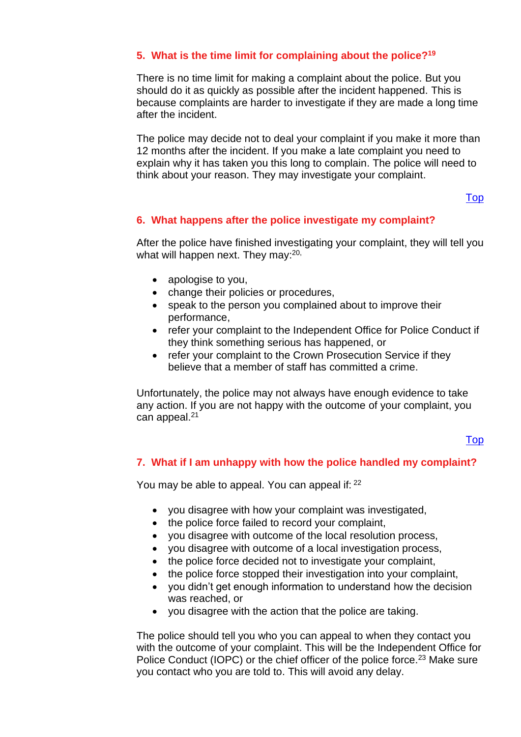# <span id="page-5-0"></span>**5. What is the time limit for complaining about the police?<sup>19</sup>**

There is no time limit for making a complaint about the police. But you should do it as quickly as possible after the incident happened. This is because complaints are harder to investigate if they are made a long time after the incident.

The police may decide not to deal your complaint if you make it more than 12 months after the incident. If you make a late complaint you need to explain why it has taken you this long to complain. The police will need to think about your reason. They may investigate your complaint.

#### [Top](#page-0-1)

## <span id="page-5-1"></span>**6. What happens after the police investigate my complaint?**

After the police have finished investigating your complaint, they will tell you what will happen next. They may:<sup>20,</sup>

- apologise to you,
- change their policies or procedures,
- speak to the person you complained about to improve their performance,
- refer your complaint to the Independent Office for Police Conduct if they think something serious has happened, or
- refer your complaint to the Crown Prosecution Service if they believe that a member of staff has committed a crime.

Unfortunately, the police may not always have enough evidence to take any action. If you are not happy with the outcome of your complaint, you can appeal.<sup>21</sup>

# [Top](#page-0-1)

#### <span id="page-5-2"></span>**7. What if I am unhappy with how the police handled my complaint?**

You may be able to appeal. You can appeal if: <sup>22</sup>

- you disagree with how your complaint was investigated,
- the police force failed to record your complaint,
- you disagree with outcome of the local resolution process,
- you disagree with outcome of a local investigation process,
- the police force decided not to investigate your complaint,
- the police force stopped their investigation into your complaint,
- you didn't get enough information to understand how the decision was reached, or
- you disagree with the action that the police are taking.

The police should tell you who you can appeal to when they contact you with the outcome of your complaint. This will be the Independent Office for Police Conduct (IOPC) or the chief officer of the police force.<sup>23</sup> Make sure you contact who you are told to. This will avoid any delay.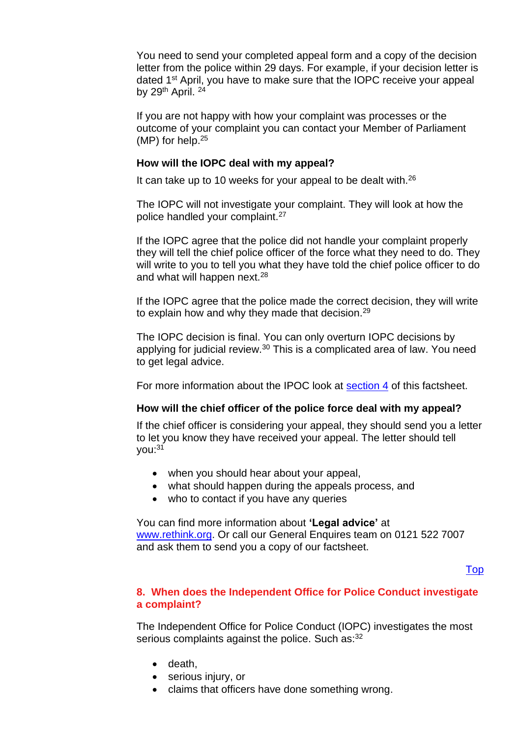You need to send your completed appeal form and a copy of the decision letter from the police within 29 days. For example, if your decision letter is dated 1<sup>st</sup> April, you have to make sure that the IOPC receive your appeal by 29<sup>th</sup> April.<sup>24</sup>

If you are not happy with how your complaint was processes or the outcome of your complaint you can contact your Member of Parliament (MP) for help.<sup>25</sup>

#### **How will the IOPC deal with my appeal?**

It can take up to 10 weeks for your appeal to be dealt with.<sup>26</sup>

The IOPC will not investigate your complaint. They will look at how the police handled your complaint.<sup>27</sup>

If the IOPC agree that the police did not handle your complaint properly they will tell the chief police officer of the force what they need to do. They will write to you to tell you what they have told the chief police officer to do and what will happen next.<sup>28</sup>

If the IOPC agree that the police made the correct decision, they will write to explain how and why they made that decision.<sup>29</sup>

The IOPC decision is final. You can only overturn IOPC decisions by applying for judicial review. $30$  This is a complicated area of law. You need to get legal advice.

For more information about the IPOC look at [section 4](#page-3-0) of this factsheet.

## **How will the chief officer of the police force deal with my appeal?**

If the chief officer is considering your appeal, they should send you a letter to let you know they have received your appeal. The letter should tell you:<sup>31</sup>

- when you should hear about your appeal,
- what should happen during the appeals process, and
- who to contact if you have any queries

#### You can find more information about **'Legal advice'** at [www.rethink.org.](http://www.rethink.org/) Or call our General Enquires team on 0121 522 7007 and ask them to send you a copy of our factsheet.

## [Top](#page-0-1)

## <span id="page-6-0"></span>**8. When does the Independent Office for Police Conduct investigate a complaint?**

The Independent Office for Police Conduct (IOPC) investigates the most serious complaints against the police. Such as: 32

- death,
- serious injury, or
- claims that officers have done something wrong.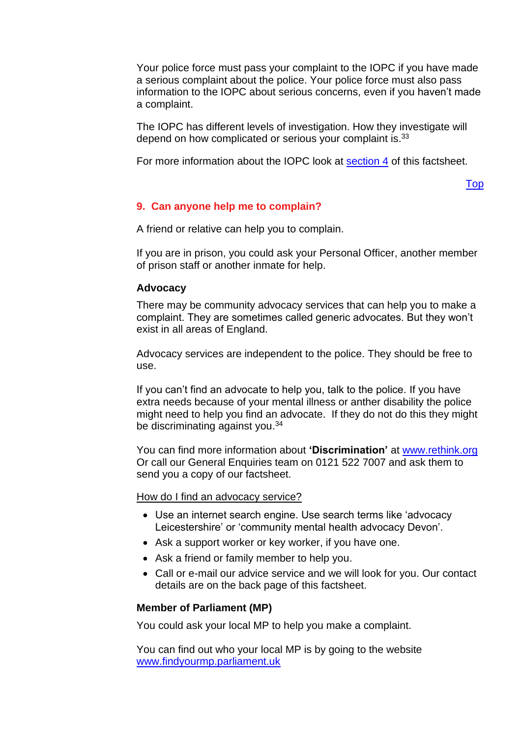Your police force must pass your complaint to the IOPC if you have made a serious complaint about the police. Your police force must also pass information to the IOPC about serious concerns, even if you haven't made a complaint.

The IOPC has different levels of investigation. How they investigate will depend on how complicated or serious your complaint is.<sup>33</sup>

For more information about the IOPC look at [section 4](#page-3-0) of this factsheet.

[Top](#page-0-1)

# <span id="page-7-0"></span>**9. Can anyone help me to complain?**

A friend or relative can help you to complain.

If you are in prison, you could ask your Personal Officer, another member of prison staff or another inmate for help.

## **Advocacy**

There may be community advocacy services that can help you to make a complaint. They are sometimes called generic advocates. But they won't exist in all areas of England.

Advocacy services are independent to the police. They should be free to use.

If you can't find an advocate to help you, talk to the police. If you have extra needs because of your mental illness or anther disability the police might need to help you find an advocate. If they do not do this they might be discriminating against you.<sup>34</sup>

You can find more information about **'Discrimination'** at [www.rethink.org](file://///Srv-fil05/YKS_NE_EM/EM/Advice%20&%20Information%20Service%20AIS4005/Shared/FACT%20SHEETS/Employment%20Support%20Allowance%20(ESA)%20Factsheet/Review%20Folder/2016/www.rethink.org) Or call our General Enquiries team on 0121 522 7007 and ask them to send you a copy of our factsheet.

How do I find an advocacy service?

- Use an internet search engine. Use search terms like 'advocacy Leicestershire' or 'community mental health advocacy Devon'.
- Ask a support worker or key worker, if you have one.
- Ask a friend or family member to help you.
- Call or e-mail our advice service and we will look for you. Our contact details are on the back page of this factsheet.

## **Member of Parliament (MP)**

You could ask your local MP to help you make a complaint.

You can find out who your local MP is by going to the website [www.findyourmp.parliament.uk](http://findyourmp.parliament.uk/)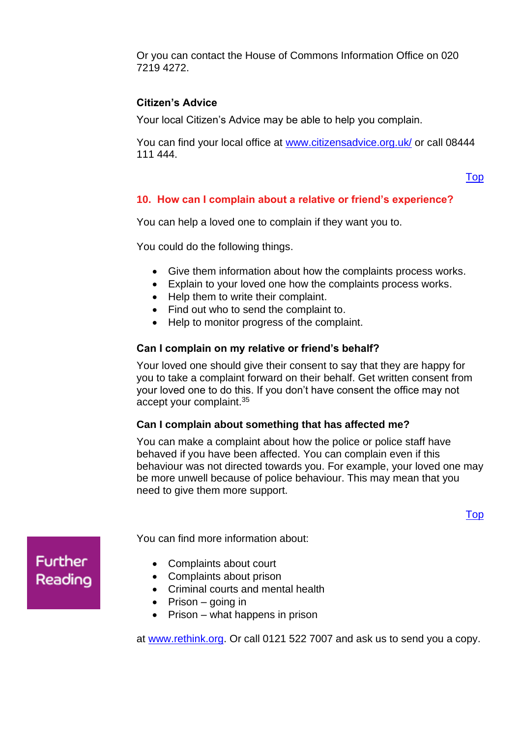Or you can contact the House of Commons Information Office on 020 7219 4272.

# **Citizen's Advice**

Your local Citizen's Advice may be able to help you complain.

You can find your local office at [www.citizensadvice.org.uk/](https://www.citizensadvice.org.uk/) or call 08444 111 444.

#### [Top](#page-0-1)

## <span id="page-8-0"></span>**10. How can I complain about a relative or friend's experience?**

You can help a loved one to complain if they want you to.

You could do the following things.

- Give them information about how the complaints process works.
- Explain to your loved one how the complaints process works.
- Help them to write their complaint.
- Find out who to send the complaint to.
- Help to monitor progress of the complaint.

#### **Can I complain on my relative or friend's behalf?**

Your loved one should give their consent to say that they are happy for you to take a complaint forward on their behalf. Get written consent from your loved one to do this. If you don't have consent the office may not accept your complaint.<sup>35</sup>

## **Can I complain about something that has affected me?**

You can make a complaint about how the police or police staff have behaved if you have been affected. You can complain even if this behaviour was not directed towards you. For example, your loved one may be more unwell because of police behaviour. This may mean that you need to give them more support.

[Top](#page-0-1)

**Further** Reading You can find more information about:

- Complaints about court
- Complaints about prison
- Criminal courts and mental health
- Prison going in
- Prison what happens in prison

at [www.rethink.org.](http://www.rethink.org/) Or call 0121 522 7007 and ask us to send you a copy.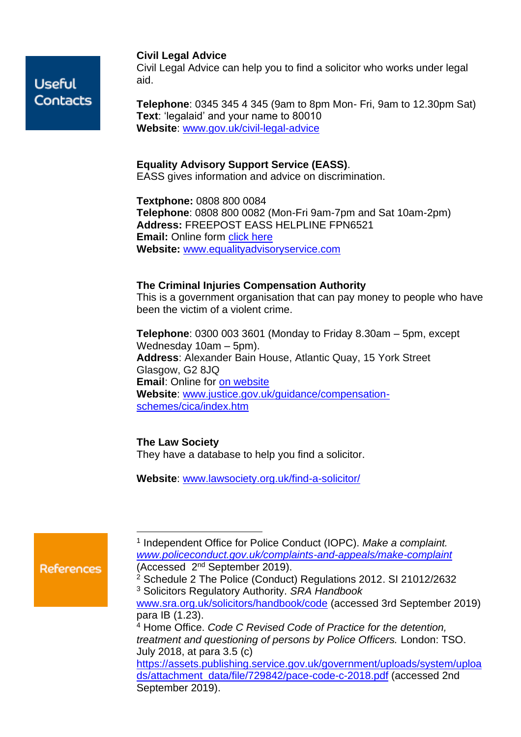#### **Civil Legal Advice**

Civil Legal Advice can help you to find a solicitor who works under legal aid.

**Telephone**: 0345 345 4 345 (9am to 8pm Mon- Fri, 9am to 12.30pm Sat) **Text**: 'legalaid' and your name to 80010 **Website**: [www.gov.uk/civil-legal-advice](http://www.gov.uk/civil-legal-advice)

#### **Equality Advisory Support Service (EASS)**.

EASS gives information and advice on discrimination.

**Textphone:** 0808 800 0084 **Telephone**: 0808 800 0082 (Mon-Fri 9am-7pm and Sat 10am-2pm) **Address:** FREEPOST EASS HELPLINE FPN6521 **Email:** Online form [click here](http://www.equalityadvisoryservice.com/app/ask) **Website:** [www.equalityadvisoryservice.com](http://www.equalityadvisoryservice.com/)

#### **The Criminal Injuries Compensation Authority**

This is a government organisation that can pay money to people who have been the victim of a violent crime.

**Telephone**: 0300 003 3601 (Monday to Friday 8.30am – 5pm, except Wednesday 10am – 5pm). **Address**: Alexander Bain House, Atlantic Quay, 15 York Street Glasgow, G2 8JQ **Email**: Online for [on website](https://www.justice.gov.uk/contacts?a=68536) **Website**: [www.justice.gov.uk/guidance/compensation](http://www.justice.gov.uk/guidance/compensation-schemes/cica/index.htm)[schemes/cica/index.htm](http://www.justice.gov.uk/guidance/compensation-schemes/cica/index.htm)

#### **The Law Society**

They have a database to help you find a solicitor.

**Website**: [www.lawsociety.org.uk/find-a-solicitor/](http://www.lawsociety.org.uk/find-a-solicitor/)

**References** 

<sup>&</sup>lt;sup>1</sup> Independent Office for Police Conduct (IOPC). Make a complaint. *[www.policeconduct.gov.uk/complaints-and-appeals/make-complaint](https://policeconduct.gov.uk/complaints-and-appeals/make-complaint)* (Accessed 2<sup>nd</sup> September 2019).

<sup>2</sup> Schedule 2 The Police (Conduct) Regulations 2012. SI 21012/2632 <sup>3</sup> Solicitors Regulatory Authority. *SRA Handbook* [www.sra.org.uk/solicitors/handbook/code](https://www.sra.org.uk/solicitors/handbook/code/part2/rule1/) (accessed 3rd September 2019) para IB (1.23). <sup>4</sup> Home Office. *Code C Revised Code of Practice for the detention, treatment and questioning of persons by Police Officers.* London: TSO. July 2018, at para 3.5 (c) [https://assets.publishing.service.gov.uk/government/uploads/system/uploa](https://assets.publishing.service.gov.uk/government/uploads/system/uploads/attachment_data/file/729842/pace-code-c-2018.pdf) [ds/attachment\\_data/file/729842/pace-code-c-2018.pdf](https://assets.publishing.service.gov.uk/government/uploads/system/uploads/attachment_data/file/729842/pace-code-c-2018.pdf) (accessed 2nd

September 2019).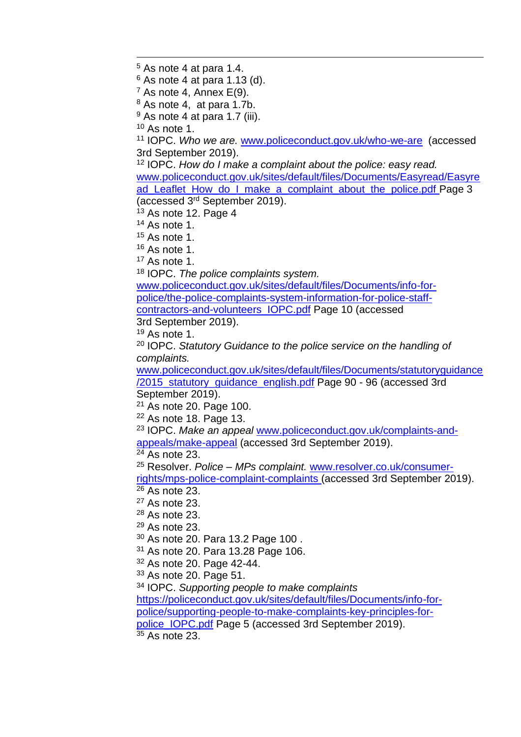As note 4 at para 1.4.

As note 4 at para 1.13 (d).

 $<sup>7</sup>$  As note 4, Annex E(9).</sup>

As note 4, at para 1.7b.

As note 4 at para 1.7 (iii).

[As](https://policeconduct.gov.uk/complaints-and-appeals/make-complaint) note 1.

 IOPC. *Who we are.* [www.policeconduct.gov.uk/who-we-are](https://www.policeconduct.gov.uk/who-we-are) (accessed 3rd September 2019).

 IOPC. *How do I make a complaint about the police: easy read.* [www.policeconduct.gov.uk/sites/default/files/Documents/Easyread/Easyre](https://www.policeconduct.gov.uk/sites/default/files/Documents/Easyread/Easyread_Leaflet_How_do_I_make_a_complaint_about_the_police.pdf) [ad\\_Leaflet\\_How\\_do\\_I\\_make\\_a\\_complaint\\_about\\_the\\_police.pdf](https://www.policeconduct.gov.uk/sites/default/files/Documents/Easyread/Easyread_Leaflet_How_do_I_make_a_complaint_about_the_police.pdf) Page 3 (accessed 3 rd September 2019).

As note 12. Page 4

As note 1.

As note 1.

As note 1.

As note 1.

IOPC. *The police complaints system.*

[www.policeconduct.gov.uk/sites/default/files/Documents/info-for](https://policeconduct.gov.uk/sites/default/files/Documents/info-for-police/the-police-complaints-system-information-for-police-staff-contractors-and-volunteers_IOPC.pdf)[police/the-police-complaints-system-information-for-police-staff](https://policeconduct.gov.uk/sites/default/files/Documents/info-for-police/the-police-complaints-system-information-for-police-staff-contractors-and-volunteers_IOPC.pdf)[contractors-and-volunteers\\_IOPC.pdf](https://policeconduct.gov.uk/sites/default/files/Documents/info-for-police/the-police-complaints-system-information-for-police-staff-contractors-and-volunteers_IOPC.pdf) Page 10 (accessed 3rd September 2019).

As note 1.

 IOPC. *Statutory Guidance to the police service on the handling of complaints.*

[www.policeconduct.gov.uk/sites/default/files/Documents/statutoryguidance](https://policeconduct.gov.uk/sites/default/files/Documents/statutoryguidance/2015_statutory_guidance_english.pdf) [/2015\\_statutory\\_guidance\\_english.pdf](https://policeconduct.gov.uk/sites/default/files/Documents/statutoryguidance/2015_statutory_guidance_english.pdf) Page 90 - 96 (accessed 3rd September 2019).

[As](https://policeconduct.gov.uk/sites/default/files/Documents/statutoryguidance/2015_statutory_guidance_english.pdf) note 20. Page 100.

As note 18. Page 13.

 IOPC. *Make an appeal* [www.policeconduct.gov.uk/complaints-and](https://www.policeconduct.gov.uk/complaints-and-appeals/make-appeal)[appeals/make-appeal](https://www.policeconduct.gov.uk/complaints-and-appeals/make-appeal) (accessed 3rd September 2019).

As note 23.

 Resolver. *Police – MPs complaint.* [www.resolver.co.uk/consumer](https://www.resolver.co.uk/consumer-rights/mps-police-complaint-complaints)[rights/mps-police-complaint-complaints](https://www.resolver.co.uk/consumer-rights/mps-police-complaint-complaints) (accessed 3rd September 2019).

As note 23.

As note 23.

As note 23.

As note 23.

As note 20. Para 13.2 Page 100 .

As note 20. Para 13.28 Page 106.

As note 20. Page 42-44.

As note 20. Page 51.

IOPC. *Supporting people to make complaints*

[https://policeconduct.gov.uk/sites/default/files/Documents/info-for](https://policeconduct.gov.uk/sites/default/files/Documents/info-for-police/supporting-people-to-make-complaints-key-principles-for-police_IOPC.pdf)[police/supporting-people-to-make-complaints-key-principles-for](https://policeconduct.gov.uk/sites/default/files/Documents/info-for-police/supporting-people-to-make-complaints-key-principles-for-police_IOPC.pdf)[police\\_IOPC.pdf](https://policeconduct.gov.uk/sites/default/files/Documents/info-for-police/supporting-people-to-make-complaints-key-principles-for-police_IOPC.pdf) Page 5 (accessed 3rd September 2019). As note 23.